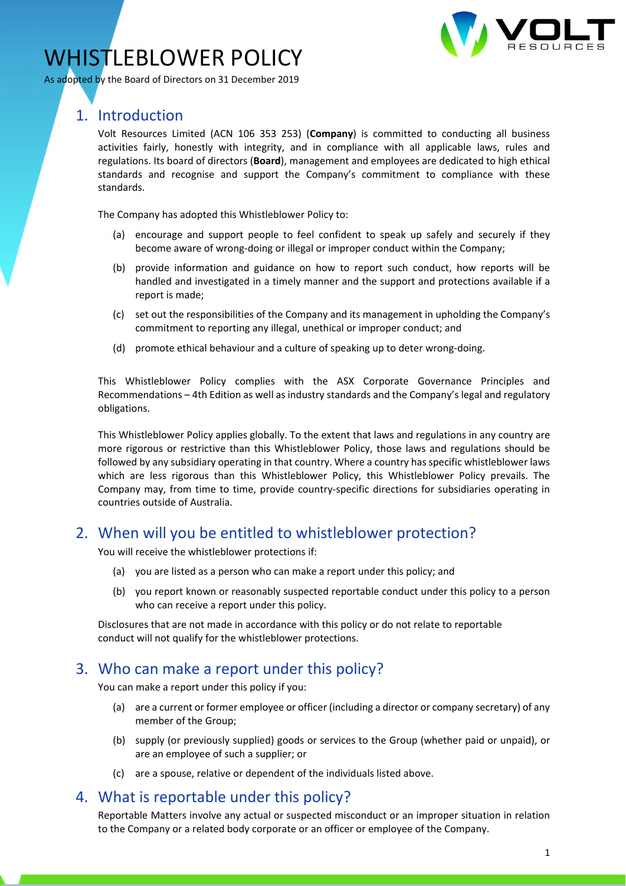

# WHISTLEBLOWER POLICY

As adopted by the Board of Directors on 31 December 2019

# 1. Introduction

Volt Resources Limited (ACN 106 353 253) (**Company**) is committed to conducting all business activities fairly, honestly with integrity, and in compliance with all applicable laws, rules and regulations. Its board of directors (**Board**), management and employees are dedicated to high ethical standards and recognise and support the Company's commitment to compliance with these standards.

The Company has adopted this Whistleblower Policy to:

- (a) encourage and support people to feel confident to speak up safely and securely if they become aware of wrong-doing or illegal or improper conduct within the Company;
- (b) provide information and guidance on how to report such conduct, how reports will be handled and investigated in a timely manner and the support and protections available if a report is made;
- (c) set out the responsibilities of the Company and its management in upholding the Company's commitment to reporting any illegal, unethical or improper conduct; and
- (d) promote ethical behaviour and a culture of speaking up to deter wrong‐doing.

This Whistleblower Policy complies with the ASX Corporate Governance Principles and Recommendations – 4th Edition as well as industry standards and the Company's legal and regulatory obligations.

This Whistleblower Policy applies globally. To the extent that laws and regulations in any country are more rigorous or restrictive than this Whistleblower Policy, those laws and regulations should be followed by any subsidiary operating in that country. Where a country has specific whistleblower laws which are less rigorous than this Whistleblower Policy, this Whistleblower Policy prevails. The Company may, from time to time, provide country‐specific directions for subsidiaries operating in countries outside of Australia.

# 2. When will you be entitled to whistleblower protection?

You will receive the whistleblower protections if:

- (a) you are listed as a person who can make a report under this policy; and
- (b) you report known or reasonably suspected reportable conduct under this policy to a person who can receive a report under this policy.

Disclosures that are not made in accordance with this policy or do not relate to reportable conduct will not qualify for the whistleblower protections.

# 3. Who can make a report under this policy?

You can make a report under this policy if you:

- (a) are a current or former employee or officer (including a director or company secretary) of any member of the Group;
- (b) supply (or previously supplied) goods or services to the Group (whether paid or unpaid), or are an employee of such a supplier; or
- (c) are a spouse, relative or dependent of the individuals listed above.

# 4. What is reportable under this policy?

Reportable Matters involve any actual or suspected misconduct or an improper situation in relation to the Company or a related body corporate or an officer or employee of the Company.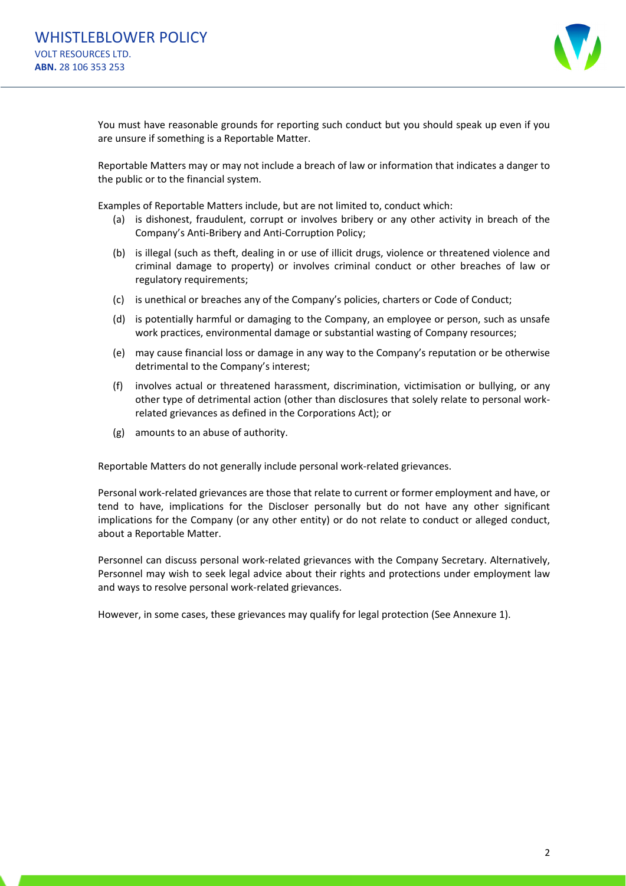

You must have reasonable grounds for reporting such conduct but you should speak up even if you are unsure if something is a Reportable Matter.

Reportable Matters may or may not include a breach of law or information that indicates a danger to the public or to the financial system.

Examples of Reportable Matters include, but are not limited to, conduct which:

- (a) is dishonest, fraudulent, corrupt or involves bribery or any other activity in breach of the Company's Anti‐Bribery and Anti‐Corruption Policy;
- (b) is illegal (such as theft, dealing in or use of illicit drugs, violence or threatened violence and criminal damage to property) or involves criminal conduct or other breaches of law or regulatory requirements;
- (c) is unethical or breaches any of the Company's policies, charters or Code of Conduct;
- (d) is potentially harmful or damaging to the Company, an employee or person, such as unsafe work practices, environmental damage or substantial wasting of Company resources;
- (e) may cause financial loss or damage in any way to the Company's reputation or be otherwise detrimental to the Company's interest;
- (f) involves actual or threatened harassment, discrimination, victimisation or bullying, or any other type of detrimental action (other than disclosures that solely relate to personal work‐ related grievances as defined in the Corporations Act); or
- (g) amounts to an abuse of authority.

Reportable Matters do not generally include personal work‐related grievances.

Personal work‐related grievances are those that relate to current or former employment and have, or tend to have, implications for the Discloser personally but do not have any other significant implications for the Company (or any other entity) or do not relate to conduct or alleged conduct, about a Reportable Matter.

Personnel can discuss personal work‐related grievances with the Company Secretary. Alternatively, Personnel may wish to seek legal advice about their rights and protections under employment law and ways to resolve personal work‐related grievances.

However, in some cases, these grievances may qualify for legal protection (See Annexure 1).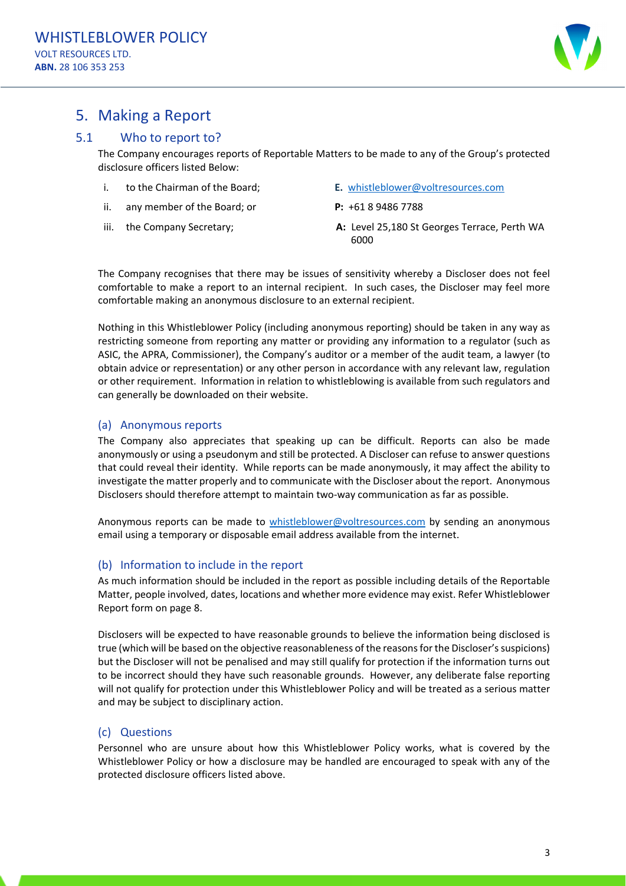

# 5. Making a Report

### 5.1 Who to report to?

The Company encourages reports of Reportable Matters to be made to any of the Group's protected disclosure officers listed Below:

- i. to the Chairman of the Board;
- ii. any member of the Board; or
- iii. the Company Secretary;
- **E.** whistleblower@voltresources.com
- **P:** +61 8 9486 7788
- **A:** Level 25,180 St Georges Terrace, Perth WA 6000

The Company recognises that there may be issues of sensitivity whereby a Discloser does not feel comfortable to make a report to an internal recipient. In such cases, the Discloser may feel more comfortable making an anonymous disclosure to an external recipient.

Nothing in this Whistleblower Policy (including anonymous reporting) should be taken in any way as restricting someone from reporting any matter or providing any information to a regulator (such as ASIC, the APRA, Commissioner), the Company's auditor or a member of the audit team, a lawyer (to obtain advice or representation) or any other person in accordance with any relevant law, regulation or other requirement. Information in relation to whistleblowing is available from such regulators and can generally be downloaded on their website.

#### (a) Anonymous reports

The Company also appreciates that speaking up can be difficult. Reports can also be made anonymously or using a pseudonym and still be protected. A Discloser can refuse to answer questions that could reveal their identity. While reports can be made anonymously, it may affect the ability to investigate the matter properly and to communicate with the Discloser about the report. Anonymous Disclosers should therefore attempt to maintain two-way communication as far as possible.

Anonymous reports can be made to whistleblower@voltresources.com by sending an anonymous email using a temporary or disposable email address available from the internet.

#### (b) Information to include in the report

As much information should be included in the report as possible including details of the Reportable Matter, people involved, dates, locations and whether more evidence may exist. Refer Whistleblower Report form on page 8.

Disclosers will be expected to have reasonable grounds to believe the information being disclosed is true (which will be based on the objective reasonableness of the reasons for the Discloser's suspicions) but the Discloser will not be penalised and may still qualify for protection if the information turns out to be incorrect should they have such reasonable grounds. However, any deliberate false reporting will not qualify for protection under this Whistleblower Policy and will be treated as a serious matter and may be subject to disciplinary action.

#### (c) Questions

Personnel who are unsure about how this Whistleblower Policy works, what is covered by the Whistleblower Policy or how a disclosure may be handled are encouraged to speak with any of the protected disclosure officers listed above.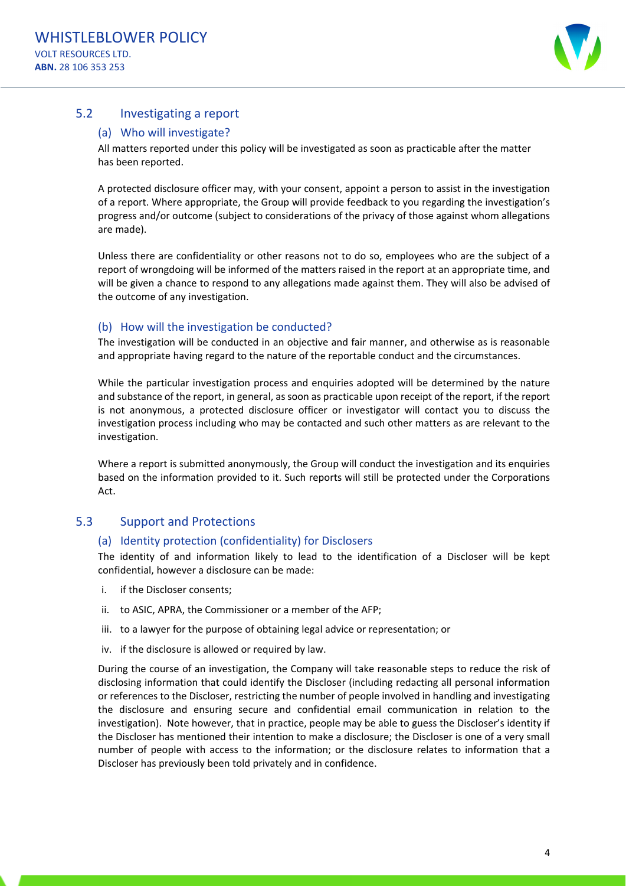

### 5.2 Investigating a report

#### (a) Who will investigate?

All matters reported under this policy will be investigated as soon as practicable after the matter has been reported.

A protected disclosure officer may, with your consent, appoint a person to assist in the investigation of a report. Where appropriate, the Group will provide feedback to you regarding the investigation's progress and/or outcome (subject to considerations of the privacy of those against whom allegations are made).

Unless there are confidentiality or other reasons not to do so, employees who are the subject of a report of wrongdoing will be informed of the matters raised in the report at an appropriate time, and will be given a chance to respond to any allegations made against them. They will also be advised of the outcome of any investigation.

#### (b) How will the investigation be conducted?

The investigation will be conducted in an objective and fair manner, and otherwise as is reasonable and appropriate having regard to the nature of the reportable conduct and the circumstances.

While the particular investigation process and enquiries adopted will be determined by the nature and substance of the report, in general, as soon as practicable upon receipt of the report, if the report is not anonymous, a protected disclosure officer or investigator will contact you to discuss the investigation process including who may be contacted and such other matters as are relevant to the investigation.

Where a report is submitted anonymously, the Group will conduct the investigation and its enquiries based on the information provided to it. Such reports will still be protected under the Corporations Act.

#### 5.3 Support and Protections

#### (a) Identity protection (confidentiality) for Disclosers

The identity of and information likely to lead to the identification of a Discloser will be kept confidential, however a disclosure can be made:

- i. if the Discloser consents;
- ii. to ASIC, APRA, the Commissioner or a member of the AFP;
- iii. to a lawyer for the purpose of obtaining legal advice or representation; or
- iv. if the disclosure is allowed or required by law.

During the course of an investigation, the Company will take reasonable steps to reduce the risk of disclosing information that could identify the Discloser (including redacting all personal information or references to the Discloser, restricting the number of people involved in handling and investigating the disclosure and ensuring secure and confidential email communication in relation to the investigation). Note however, that in practice, people may be able to guess the Discloser's identity if the Discloser has mentioned their intention to make a disclosure; the Discloser is one of a very small number of people with access to the information; or the disclosure relates to information that a Discloser has previously been told privately and in confidence.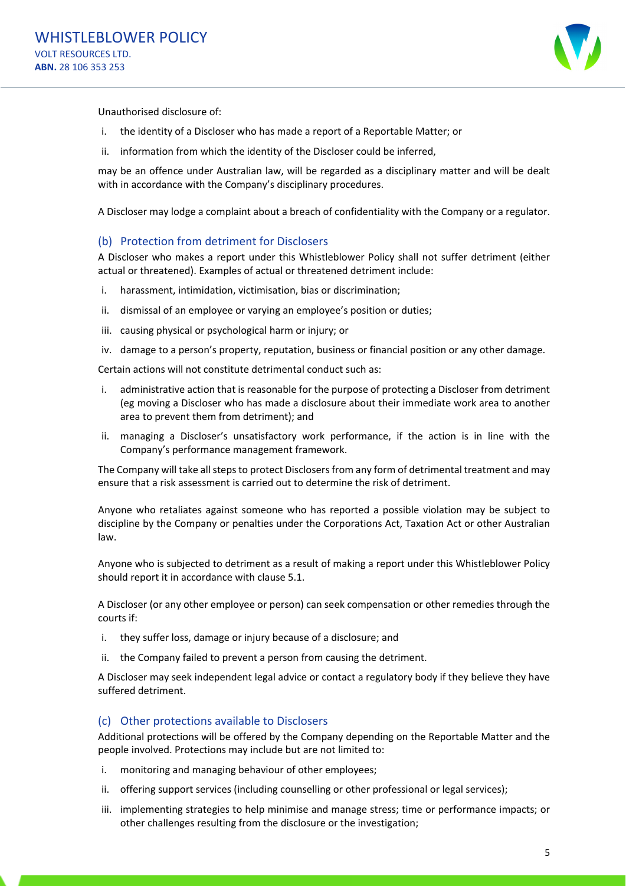

Unauthorised disclosure of:

- i. the identity of a Discloser who has made a report of a Reportable Matter; or
- ii. information from which the identity of the Discloser could be inferred,

may be an offence under Australian law, will be regarded as a disciplinary matter and will be dealt with in accordance with the Company's disciplinary procedures.

A Discloser may lodge a complaint about a breach of confidentiality with the Company or a regulator.

#### (b) Protection from detriment for Disclosers

A Discloser who makes a report under this Whistleblower Policy shall not suffer detriment (either actual or threatened). Examples of actual or threatened detriment include:

- i. harassment, intimidation, victimisation, bias or discrimination;
- ii. dismissal of an employee or varying an employee's position or duties;
- iii. causing physical or psychological harm or injury; or
- iv. damage to a person's property, reputation, business or financial position or any other damage.

Certain actions will not constitute detrimental conduct such as:

- i. administrative action that is reasonable for the purpose of protecting a Discloser from detriment (eg moving a Discloser who has made a disclosure about their immediate work area to another area to prevent them from detriment); and
- ii. managing a Discloser's unsatisfactory work performance, if the action is in line with the Company's performance management framework.

The Company will take all steps to protect Disclosers from any form of detrimental treatment and may ensure that a risk assessment is carried out to determine the risk of detriment.

Anyone who retaliates against someone who has reported a possible violation may be subject to discipline by the Company or penalties under the Corporations Act, Taxation Act or other Australian law.

Anyone who is subjected to detriment as a result of making a report under this Whistleblower Policy should report it in accordance with clause 5.1.

A Discloser (or any other employee or person) can seek compensation or other remedies through the courts if:

- i. they suffer loss, damage or injury because of a disclosure; and
- ii. the Company failed to prevent a person from causing the detriment.

A Discloser may seek independent legal advice or contact a regulatory body if they believe they have suffered detriment.

#### (c) Other protections available to Disclosers

Additional protections will be offered by the Company depending on the Reportable Matter and the people involved. Protections may include but are not limited to:

- i. monitoring and managing behaviour of other employees;
- ii. offering support services (including counselling or other professional or legal services);
- iii. implementing strategies to help minimise and manage stress; time or performance impacts; or other challenges resulting from the disclosure or the investigation;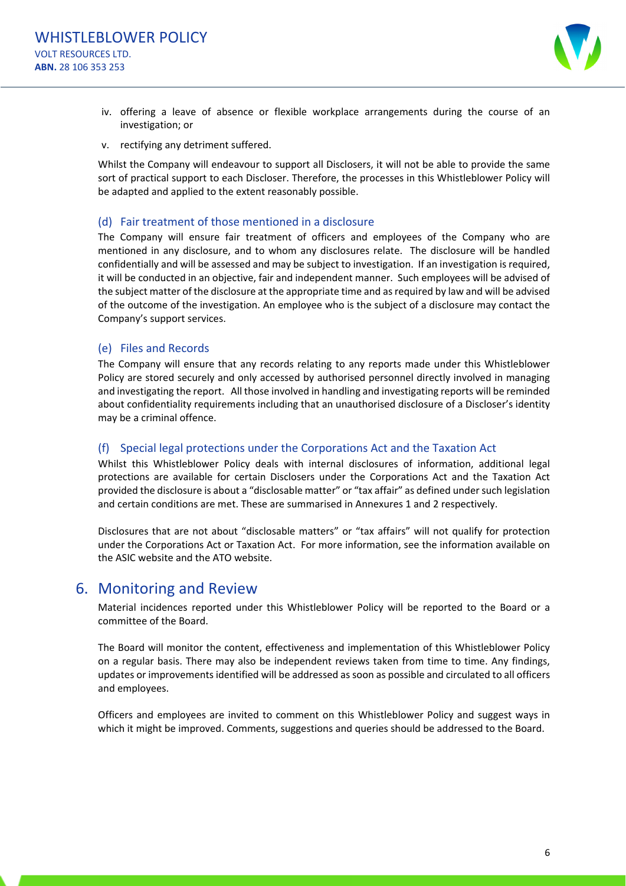

- iv. offering a leave of absence or flexible workplace arrangements during the course of an investigation; or
- v. rectifying any detriment suffered.

Whilst the Company will endeavour to support all Disclosers, it will not be able to provide the same sort of practical support to each Discloser. Therefore, the processes in this Whistleblower Policy will be adapted and applied to the extent reasonably possible.

#### (d) Fair treatment of those mentioned in a disclosure

The Company will ensure fair treatment of officers and employees of the Company who are mentioned in any disclosure, and to whom any disclosures relate. The disclosure will be handled confidentially and will be assessed and may be subject to investigation. If an investigation is required, it will be conducted in an objective, fair and independent manner. Such employees will be advised of the subject matter of the disclosure at the appropriate time and as required by law and will be advised of the outcome of the investigation. An employee who is the subject of a disclosure may contact the Company's support services.

#### (e) Files and Records

The Company will ensure that any records relating to any reports made under this Whistleblower Policy are stored securely and only accessed by authorised personnel directly involved in managing and investigating the report. All those involved in handling and investigating reports will be reminded about confidentiality requirements including that an unauthorised disclosure of a Discloser's identity may be a criminal offence.

#### (f) Special legal protections under the Corporations Act and the Taxation Act

Whilst this Whistleblower Policy deals with internal disclosures of information, additional legal protections are available for certain Disclosers under the Corporations Act and the Taxation Act provided the disclosure is about a "disclosable matter" or "tax affair" as defined undersuch legislation and certain conditions are met. These are summarised in Annexures 1 and 2 respectively.

Disclosures that are not about "disclosable matters" or "tax affairs" will not qualify for protection under the Corporations Act or Taxation Act. For more information, see the information available on the ASIC website and the ATO website.

# 6. Monitoring and Review

Material incidences reported under this Whistleblower Policy will be reported to the Board or a committee of the Board.

The Board will monitor the content, effectiveness and implementation of this Whistleblower Policy on a regular basis. There may also be independent reviews taken from time to time. Any findings, updates or improvements identified will be addressed as soon as possible and circulated to all officers and employees.

Officers and employees are invited to comment on this Whistleblower Policy and suggest ways in which it might be improved. Comments, suggestions and queries should be addressed to the Board.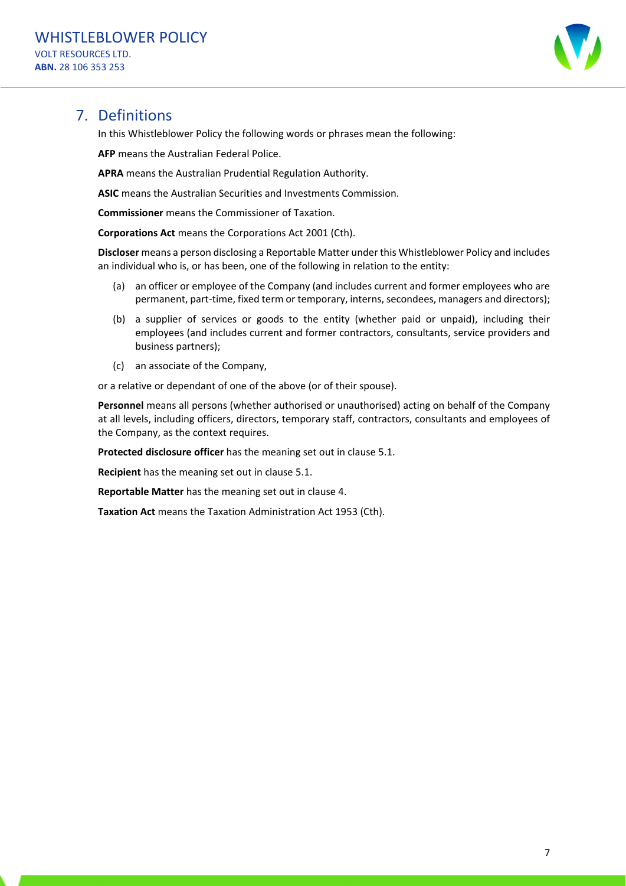

# 7. Definitions

In this Whistleblower Policy the following words or phrases mean the following:

**AFP** means the Australian Federal Police.

**APRA** means the Australian Prudential Regulation Authority.

**ASIC** means the Australian Securities and Investments Commission.

**Commissioner** means the Commissioner of Taxation.

**Corporations Act** means the Corporations Act 2001 (Cth).

**Discloser** means a person disclosing a Reportable Matter under this Whistleblower Policy and includes an individual who is, or has been, one of the following in relation to the entity:

- (a) an officer or employee of the Company (and includes current and former employees who are permanent, part-time, fixed term or temporary, interns, secondees, managers and directors);
- (b) a supplier of services or goods to the entity (whether paid or unpaid), including their employees (and includes current and former contractors, consultants, service providers and business partners);
- (c) an associate of the Company,

or a relative or dependant of one of the above (or of their spouse).

**Personnel** means all persons (whether authorised or unauthorised) acting on behalf of the Company at all levels, including officers, directors, temporary staff, contractors, consultants and employees of the Company, as the context requires.

**Protected disclosure officer** has the meaning set out in clause 5.1.

**Recipient** has the meaning set out in clause 5.1.

**Reportable Matter** has the meaning set out in clause 4.

**Taxation Act** means the Taxation Administration Act 1953 (Cth).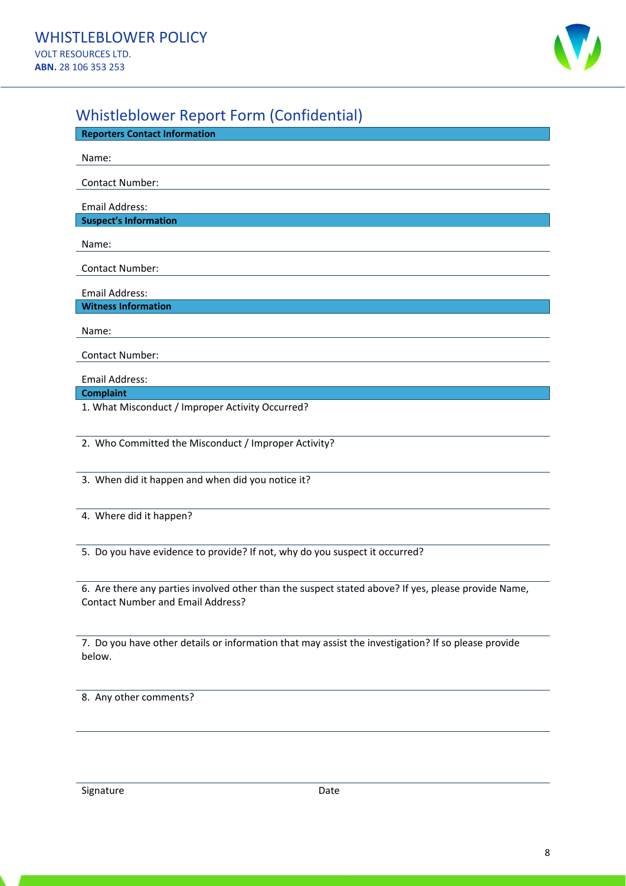

# Whistleblower Report Form (Confidential)

| <b>Reporters Contact Information</b>                 |
|------------------------------------------------------|
| Name:                                                |
|                                                      |
| <b>Contact Number:</b>                               |
| <b>Email Address:</b>                                |
| <b>Suspect's Information</b>                         |
| Name:                                                |
| <b>Contact Number:</b>                               |
| <b>Email Address:</b>                                |
| <b>Witness Information</b>                           |
| Name:                                                |
| Contact Number:                                      |
| Email Address:                                       |
| <b>Complaint</b>                                     |
| 1. What Misconduct / Improper Activity Occurred?     |
|                                                      |
| 2. Who Committed the Misconduct / Improper Activity? |

3. When did it happen and when did you notice it?

4. Where did it happen?

5. Do you have evidence to provide? If not, why do you suspect it occurred?

6. Are there any parties involved other than the suspect stated above? If yes, please provide Name, Contact Number and Email Address?

7. Do you have other details or information that may assist the investigation? If so please provide below.

8. Any other comments?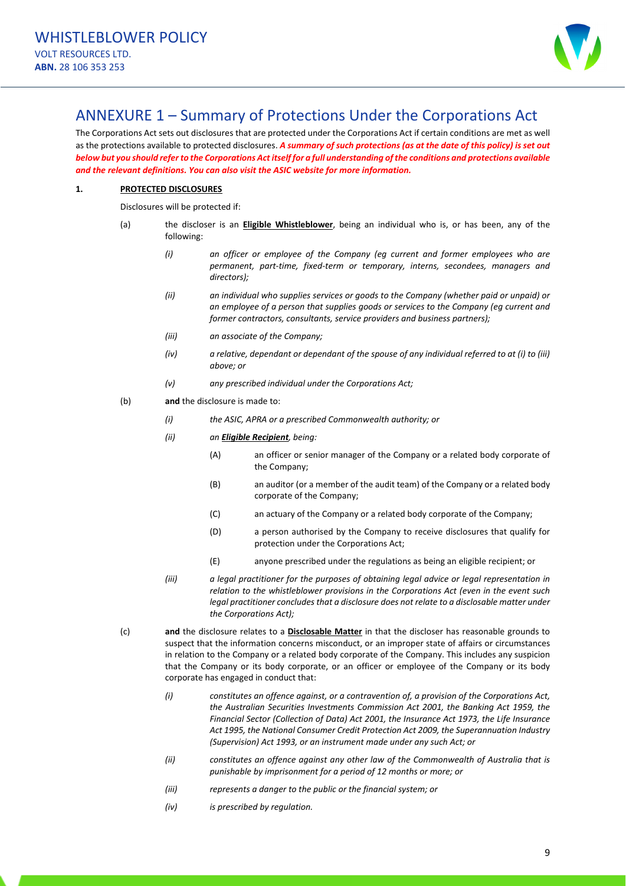

# ANNEXURE 1 – Summary of Protections Under the Corporations Act

The Corporations Act sets out disclosures that are protected under the Corporations Act if certain conditions are met as well as the protections available to protected disclosures. A summary of such protections (as at the date of this policy) is set out below but you should refer to the Corporations Act itself for a full understanding of the conditions and protections available *and the relevant definitions. You can also visit the ASIC website for more information.*

#### **1. PROTECTED DISCLOSURES**

Disclosures will be protected if:

- (a) the discloser is an **Eligible Whistleblower**, being an individual who is, or has been, any of the following:
	- *(i) an officer or employee of the Company (eg current and former employees who are permanent, part‐time, fixed‐term or temporary, interns, secondees, managers and directors);*
	- *(ii) an individual who supplies services or goods to the Company (whether paid or unpaid) or an employee of a person that supplies goods or services to the Company (eg current and former contractors, consultants, service providers and business partners);*
	- *(iii) an associate of the Company;*
	- $(iv)$  a relative, dependant or dependant of the spouse of any individual referred to at (i) to (iii) *above; or*
	- *(v) any prescribed individual under the Corporations Act;*
- (b) **and** the disclosure is made to:
	- *(i) the ASIC, APRA or a prescribed Commonwealth authority; or*
	- *(ii) an Eligible Recipient, being:*
		- (A) an officer or senior manager of the Company or a related body corporate of the Company;
		- (B) an auditor (or a member of the audit team) of the Company or a related body corporate of the Company;
		- (C) an actuary of the Company or a related body corporate of the Company;
		- (D) a person authorised by the Company to receive disclosures that qualify for protection under the Corporations Act;
		- (E) anyone prescribed under the regulations as being an eligible recipient; or
	- *(iii) a legal practitioner for the purposes of obtaining legal advice or legal representation in relation to the whistleblower provisions in the Corporations Act (even in the event such legal practitioner concludesthat a disclosure does not relate to a disclosable matter under the Corporations Act);*
- (c) **and** the disclosure relates to a **Disclosable Matter** in that the discloser has reasonable grounds to suspect that the information concerns misconduct, or an improper state of affairs or circumstances in relation to the Company or a related body corporate of the Company. This includes any suspicion that the Company or its body corporate, or an officer or employee of the Company or its body corporate has engaged in conduct that:
	- *(i) constitutes an offence against, or a contravention of, a provision of the Corporations Act, the Australian Securities Investments Commission Act 2001, the Banking Act 1959, the Financial Sector (Collection of Data) Act 2001, the Insurance Act 1973, the Life Insurance Act 1995, the National Consumer Credit Protection Act 2009, the Superannuation Industry (Supervision) Act 1993, or an instrument made under any such Act; or*
	- *(ii) constitutes an offence against any other law of the Commonwealth of Australia that is punishable by imprisonment for a period of 12 months or more; or*
	- *(iii) represents a danger to the public or the financial system; or*
	- *(iv) is prescribed by regulation.*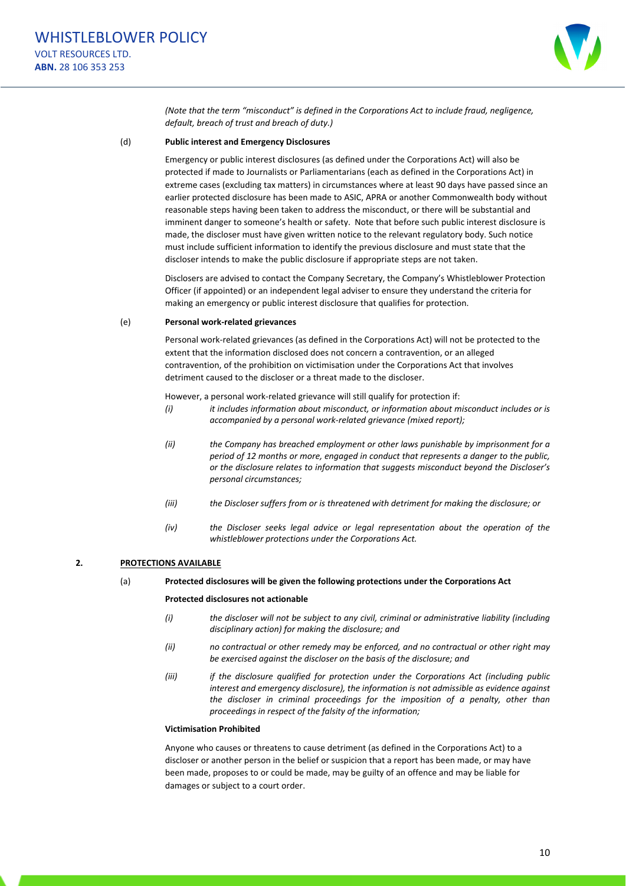

*(Note that the term "misconduct" is defined in the Corporations Act to include fraud, negligence, default, breach of trust and breach of duty.)* 

#### (d) **Public interest and Emergency Disclosures**

Emergency or public interest disclosures (as defined under the Corporations Act) will also be protected if made to Journalists or Parliamentarians (each as defined in the Corporations Act) in extreme cases (excluding tax matters) in circumstances where at least 90 days have passed since an earlier protected disclosure has been made to ASIC, APRA or another Commonwealth body without reasonable steps having been taken to address the misconduct, or there will be substantial and imminent danger to someone's health or safety. Note that before such public interest disclosure is made, the discloser must have given written notice to the relevant regulatory body. Such notice must include sufficient information to identify the previous disclosure and must state that the discloser intends to make the public disclosure if appropriate steps are not taken.

Disclosers are advised to contact the Company Secretary, the Company's Whistleblower Protection Officer (if appointed) or an independent legal adviser to ensure they understand the criteria for making an emergency or public interest disclosure that qualifies for protection.

#### (e) **Personal work‐related grievances**

Personal work‐related grievances (as defined in the Corporations Act) will not be protected to the extent that the information disclosed does not concern a contravention, or an alleged contravention, of the prohibition on victimisation under the Corporations Act that involves detriment caused to the discloser or a threat made to the discloser.

However, a personal work-related grievance will still qualify for protection if:

- *(i) it includes information about misconduct, or information about misconduct includes or is accompanied by a personal work‐related grievance (mixed report);*
- *(ii) the Company has breached employment or other laws punishable by imprisonment for a period of 12 months or more, engaged in conduct that represents a danger to the public, or the disclosure relates to information that suggests misconduct beyond the Discloser's personal circumstances;*
- *(iii) the Discloser suffers from or is threatened with detriment for making the disclosure; or*
- *(iv) the Discloser seeks legal advice or legal representation about the operation of the whistleblower protections under the Corporations Act.*

#### **2. PROTECTIONS AVAILABLE**

#### (a) **Protected disclosures will be given the following protections under the Corporations Act**

#### **Protected disclosures not actionable**

- *(i) the discloser will not be subject to any civil, criminal or administrative liability (including disciplinary action) for making the disclosure; and*
- *(ii) no contractual or other remedy may be enforced, and no contractual or other right may be exercised against the discloser on the basis of the disclosure; and*
- *(iii) if the disclosure qualified for protection under the Corporations Act (including public interest and emergency disclosure), the information is not admissible as evidence against the discloser in criminal proceedings for the imposition of a penalty, other than proceedings in respect of the falsity of the information;*

#### **Victimisation Prohibited**

Anyone who causes or threatens to cause detriment (as defined in the Corporations Act) to a discloser or another person in the belief or suspicion that a report has been made, or may have been made, proposes to or could be made, may be guilty of an offence and may be liable for damages or subject to a court order.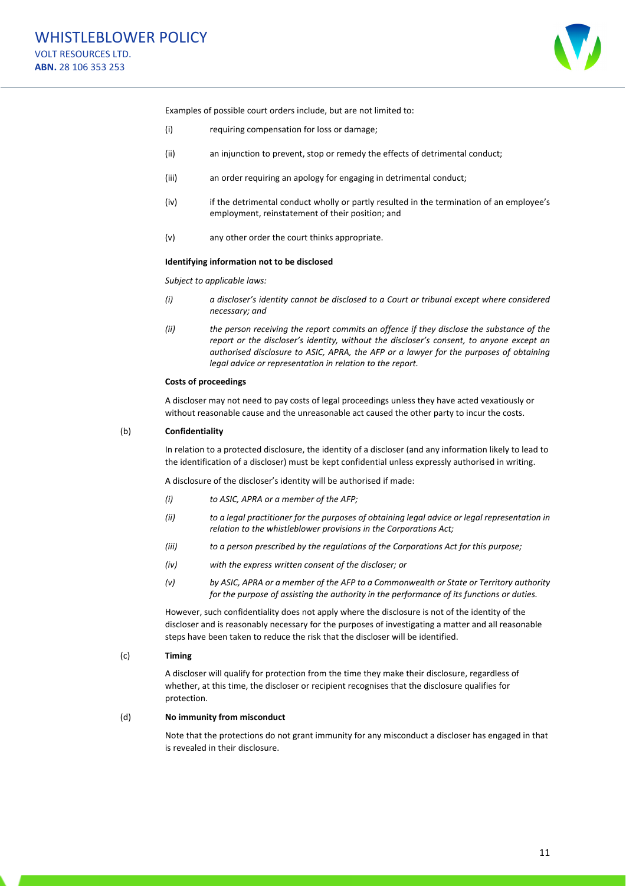

Examples of possible court orders include, but are not limited to:

- (i) requiring compensation for loss or damage;
- (ii) an injunction to prevent, stop or remedy the effects of detrimental conduct;
- (iii) an order requiring an apology for engaging in detrimental conduct;
- (iv) if the detrimental conduct wholly or partly resulted in the termination of an employee's employment, reinstatement of their position; and
- (v) any other order the court thinks appropriate.

#### **Identifying information not to be disclosed**

*Subject to applicable laws:*

- *(i) a discloser's identity cannot be disclosed to a Court or tribunal except where considered necessary; and*
- *(ii) the person receiving the report commits an offence if they disclose the substance of the report or the discloser's identity, without the discloser's consent, to anyone except an authorised disclosure to ASIC, APRA, the AFP or a lawyer for the purposes of obtaining legal advice or representation in relation to the report.*

#### **Costs of proceedings**

A discloser may not need to pay costs of legal proceedings unless they have acted vexatiously or without reasonable cause and the unreasonable act caused the other party to incur the costs.

#### (b) **Confidentiality**

In relation to a protected disclosure, the identity of a discloser (and any information likely to lead to the identification of a discloser) must be kept confidential unless expressly authorised in writing.

A disclosure of the discloser's identity will be authorised if made:

- *(i) to ASIC, APRA or a member of the AFP;*
- *(ii) to a legal practitioner for the purposes of obtaining legal advice or legal representation in relation to the whistleblower provisions in the Corporations Act;*
- *(iii) to a person prescribed by the regulations of the Corporations Act for this purpose;*
- *(iv) with the express written consent of the discloser; or*
- *(v) by ASIC, APRA or a member of the AFP to a Commonwealth or State or Territory authority for the purpose of assisting the authority in the performance of its functions or duties.*

However, such confidentiality does not apply where the disclosure is not of the identity of the discloser and is reasonably necessary for the purposes of investigating a matter and all reasonable steps have been taken to reduce the risk that the discloser will be identified.

#### (c) **Timing**

A discloser will qualify for protection from the time they make their disclosure, regardless of whether, at this time, the discloser or recipient recognises that the disclosure qualifies for protection.

#### (d) **No immunity from misconduct**

Note that the protections do not grant immunity for any misconduct a discloser has engaged in that is revealed in their disclosure.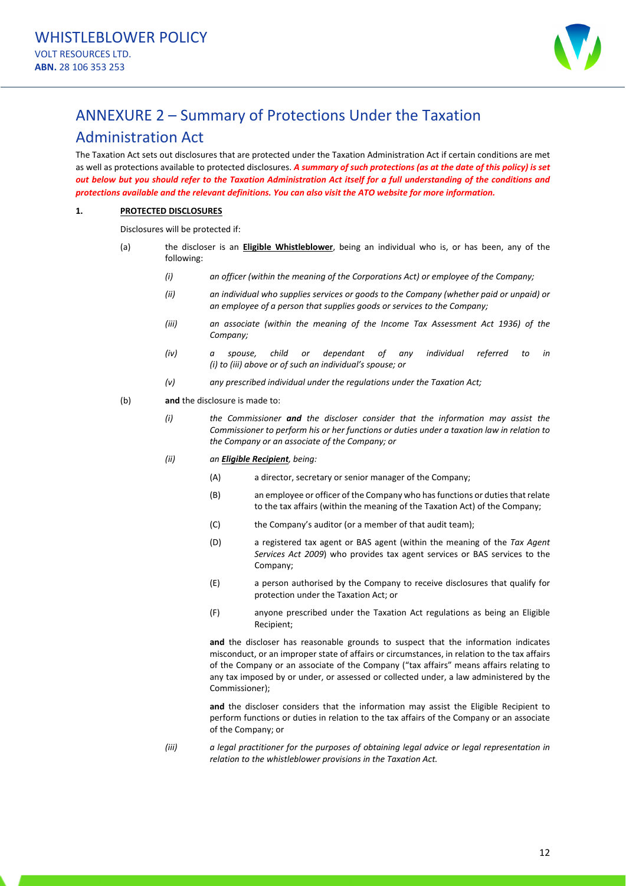

# ANNEXURE 2 – Summary of Protections Under the Taxation

### Administration Act

The Taxation Act sets out disclosures that are protected under the Taxation Administration Act if certain conditions are met as well as protections available to protected disclosures. A summary of such protections (as at the date of this policy) is set out below but you should refer to the Taxation Administration Act itself for a full understanding of the conditions and *protections available and the relevant definitions. You can also visit the ATO website for more information.*

#### **1. PROTECTED DISCLOSURES**

Disclosures will be protected if:

- (a) the discloser is an **Eligible Whistleblower**, being an individual who is, or has been, any of the following:
	- *(i) an officer (within the meaning of the Corporations Act) or employee of the Company;*
	- *(ii) an individual who supplies services or goods to the Company (whether paid or unpaid) or an employee of a person that supplies goods or services to the Company;*
	- *(iii) an associate (within the meaning of the Income Tax Assessment Act 1936) of the Company;*
	- *(iv) a spouse, child or dependant of any individual referred to in (i) to (iii) above or of such an individual's spouse; or*
	- *(v) any prescribed individual under the regulations under the Taxation Act;*
- (b) **and** the disclosure is made to:
	- *(i) the Commissioner and the discloser consider that the information may assist the Commissioner to perform his or her functions or duties under a taxation law in relation to the Company or an associate of the Company; or*
	- *(ii) an Eligible Recipient, being:*
		- (A) a director, secretary or senior manager of the Company;
		- (B) an employee or officer of the Company who has functions or duties that relate to the tax affairs (within the meaning of the Taxation Act) of the Company;
		- (C) the Company's auditor (or a member of that audit team);
		- (D) a registered tax agent or BAS agent (within the meaning of the *Tax Agent Services Act 2009*) who provides tax agent services or BAS services to the Company;
		- (E) a person authorised by the Company to receive disclosures that qualify for protection under the Taxation Act; or
		- (F) anyone prescribed under the Taxation Act regulations as being an Eligible Recipient;

**and** the discloser has reasonable grounds to suspect that the information indicates misconduct, or an improper state of affairs or circumstances, in relation to the tax affairs of the Company or an associate of the Company ("tax affairs" means affairs relating to any tax imposed by or under, or assessed or collected under, a law administered by the Commissioner);

**and** the discloser considers that the information may assist the Eligible Recipient to perform functions or duties in relation to the tax affairs of the Company or an associate of the Company; or

*(iii) a legal practitioner for the purposes of obtaining legal advice or legal representation in relation to the whistleblower provisions in the Taxation Act.*